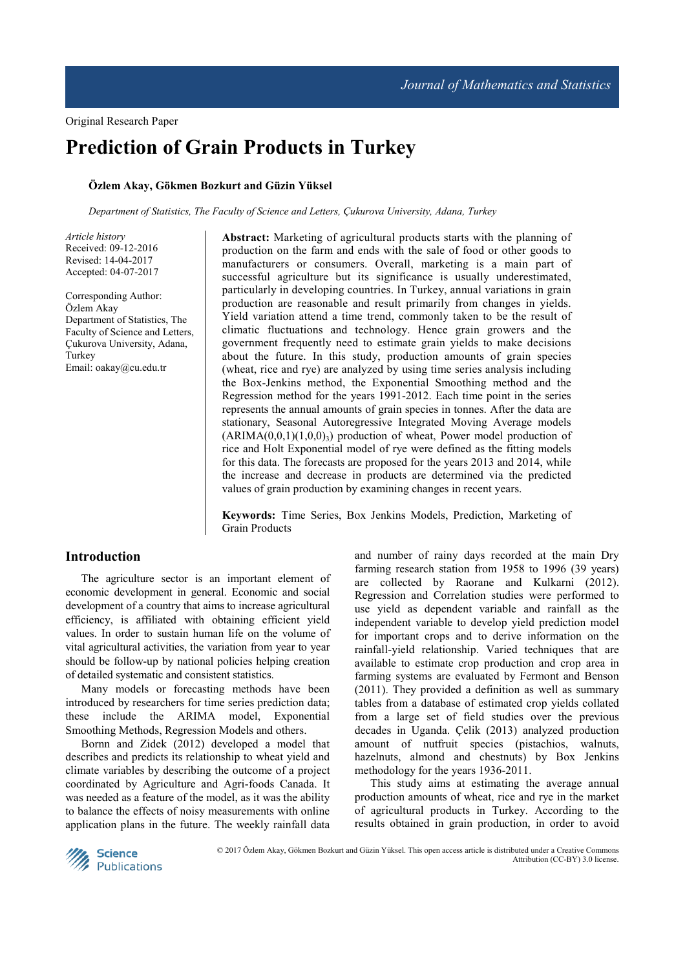# **Prediction of Grain Products in Turkey**

#### **Özlem Akay, Gökmen Bozkurt and Güzin Yüksel**

*Department of Statistics, The Faculty of Science and Letters, Çukurova University, Adana, Turkey* 

*Article history*  Received: 09-12-2016 Revised: 14-04-2017 Accepted: 04-07-2017

Corresponding Author: Özlem Akay Department of Statistics, The Faculty of Science and Letters, Çukurova University, Adana, Turkey Email: oakay@cu.edu.tr

**Abstract:** Marketing of agricultural products starts with the planning of production on the farm and ends with the sale of food or other goods to manufacturers or consumers. Overall, marketing is a main part of successful agriculture but its significance is usually underestimated, particularly in developing countries. In Turkey, annual variations in grain production are reasonable and result primarily from changes in yields. Yield variation attend a time trend, commonly taken to be the result of climatic fluctuations and technology. Hence grain growers and the government frequently need to estimate grain yields to make decisions about the future. In this study, production amounts of grain species (wheat, rice and rye) are analyzed by using time series analysis including the Box-Jenkins method, the Exponential Smoothing method and the Regression method for the years 1991-2012. Each time point in the series represents the annual amounts of grain species in tonnes. After the data are stationary, Seasonal Autoregressive Integrated Moving Average models  $(ARIMA(0,0,1)(1,0,0)_{3})$  production of wheat. Power model production of rice and Holt Exponential model of rye were defined as the fitting models for this data. The forecasts are proposed for the years 2013 and 2014, while the increase and decrease in products are determined via the predicted values of grain production by examining changes in recent years.

**Keywords:** Time Series, Box Jenkins Models, Prediction, Marketing of Grain Products

# **Introduction**

The agriculture sector is an important element of economic development in general. Economic and social development of a country that aims to increase agricultural efficiency, is affiliated with obtaining efficient yield values. In order to sustain human life on the volume of vital agricultural activities, the variation from year to year should be follow-up by national policies helping creation of detailed systematic and consistent statistics.

Many models or forecasting methods have been introduced by researchers for time series prediction data; these include the ARIMA model, Exponential Smoothing Methods, Regression Models and others.

Bornn and Zidek (2012) developed a model that describes and predicts its relationship to wheat yield and climate variables by describing the outcome of a project coordinated by Agriculture and Agri-foods Canada. It was needed as a feature of the model, as it was the ability to balance the effects of noisy measurements with online application plans in the future. The weekly rainfall data

and number of rainy days recorded at the main Dry farming research station from 1958 to 1996 (39 years) are collected by Raorane and Kulkarni (2012). Regression and Correlation studies were performed to use yield as dependent variable and rainfall as the independent variable to develop yield prediction model for important crops and to derive information on the rainfall-yield relationship. Varied techniques that are available to estimate crop production and crop area in farming systems are evaluated by Fermont and Benson (2011). They provided a definition as well as summary tables from a database of estimated crop yields collated from a large set of field studies over the previous decades in Uganda. Çelik (2013) analyzed production amount of nutfruit species (pistachios, walnuts, hazelnuts, almond and chestnuts) by Box Jenkins methodology for the years 1936-2011.

This study aims at estimating the average annual production amounts of wheat, rice and rye in the market of agricultural products in Turkey. According to the results obtained in grain production, in order to avoid



 © 2017 Özlem Akay, Gökmen Bozkurt and Güzin Yüksel. This open access article is distributed under a Creative Commons Attribution (CC-BY) 3.0 license.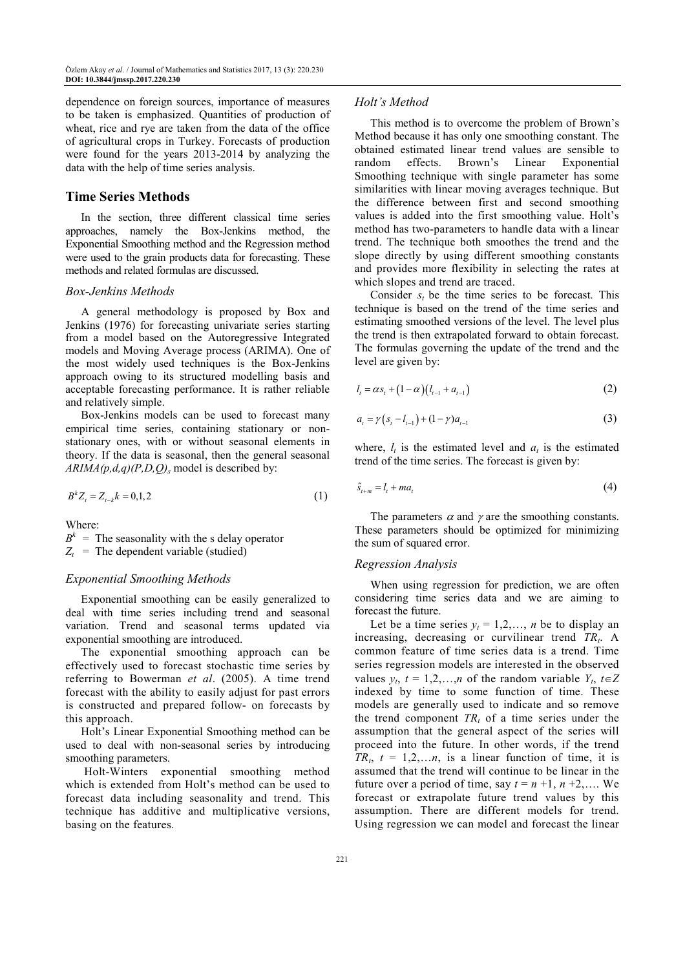dependence on foreign sources, importance of measures to be taken is emphasized. Quantities of production of wheat, rice and rye are taken from the data of the office of agricultural crops in Turkey. Forecasts of production were found for the years 2013-2014 by analyzing the data with the help of time series analysis.

### **Time Series Methods**

In the section, three different classical time series approaches, namely the Box-Jenkins method, the Exponential Smoothing method and the Regression method were used to the grain products data for forecasting. These methods and related formulas are discussed.

# *Box-Jenkins Methods*

A general methodology is proposed by Box and Jenkins (1976) for forecasting univariate series starting from a model based on the Autoregressive Integrated models and Moving Average process (ARIMA). One of the most widely used techniques is the Box-Jenkins approach owing to its structured modelling basis and acceptable forecasting performance. It is rather reliable and relatively simple.

Box-Jenkins models can be used to forecast many empirical time series, containing stationary or nonstationary ones, with or without seasonal elements in theory. If the data is seasonal, then the general seasonal  $ARIMA(p,d,q)(P,D,Q)$ <sup>*s*</sup> model is described by:

$$
B^{k}Z_{t} = Z_{t-k}k = 0,1,2
$$
\n(1)

Where:

 $B<sup>k</sup>$  = The seasonality with the s delay operator  $Z_t$  = The dependent variable (studied)

### *Exponential Smoothing Methods*

Exponential smoothing can be easily generalized to deal with time series including trend and seasonal variation. Trend and seasonal terms updated via exponential smoothing are introduced.

The exponential smoothing approach can be effectively used to forecast stochastic time series by referring to Bowerman *et al*. (2005). A time trend forecast with the ability to easily adjust for past errors is constructed and prepared follow- on forecasts by this approach.

Holt's Linear Exponential Smoothing method can be used to deal with non-seasonal series by introducing smoothing parameters.

 Holt-Winters exponential smoothing method which is extended from Holt's method can be used to forecast data including seasonality and trend. This technique has additive and multiplicative versions, basing on the features.

# *Holt's Method*

This method is to overcome the problem of Brown's Method because it has only one smoothing constant. The obtained estimated linear trend values are sensible to random effects. Brown's Linear Exponential Smoothing technique with single parameter has some similarities with linear moving averages technique. But the difference between first and second smoothing values is added into the first smoothing value. Holt's method has two-parameters to handle data with a linear trend. The technique both smoothes the trend and the slope directly by using different smoothing constants and provides more flexibility in selecting the rates at which slopes and trend are traced.

Consider  $s_t$  be the time series to be forecast. This technique is based on the trend of the time series and estimating smoothed versions of the level. The level plus the trend is then extrapolated forward to obtain forecast. The formulas governing the update of the trend and the level are given by:

$$
l_{t} = \alpha s_{t} + (1 - \alpha)(l_{t-1} + a_{t-1})
$$
\n(2)

$$
a_{t} = \gamma (s_{t} - l_{t-1}) + (1 - \gamma) a_{t-1}
$$
\n(3)

where,  $l_t$  is the estimated level and  $a_t$  is the estimated trend of the time series. The forecast is given by:

$$
\hat{s}_{t+m} = l_t + ma_t \tag{4}
$$

The parameters  $\alpha$  and  $\gamma$  are the smoothing constants. These parameters should be optimized for minimizing the sum of squared error.

### *Regression Analysis*

When using regression for prediction, we are often considering time series data and we are aiming to forecast the future.

Let be a time series  $y_t = 1, 2, ..., n$  be to display an increasing, decreasing or curvilinear trend *TR<sup>t</sup>* . A common feature of time series data is a trend. Time series regression models are interested in the observed values  $y_t$ ,  $t = 1,2,...,n$  of the random variable  $Y_t$ ,  $t \in \mathbb{Z}$ indexed by time to some function of time. These models are generally used to indicate and so remove the trend component  $TR<sub>t</sub>$  of a time series under the assumption that the general aspect of the series will proceed into the future. In other words, if the trend *TR*<sup>*t*</sup>,  $t = 1, 2, \ldots n$ , is a linear function of time, it is assumed that the trend will continue to be linear in the future over a period of time, say  $t = n + 1$ ,  $n + 2$ ,.... We forecast or extrapolate future trend values by this assumption. There are different models for trend. Using regression we can model and forecast the linear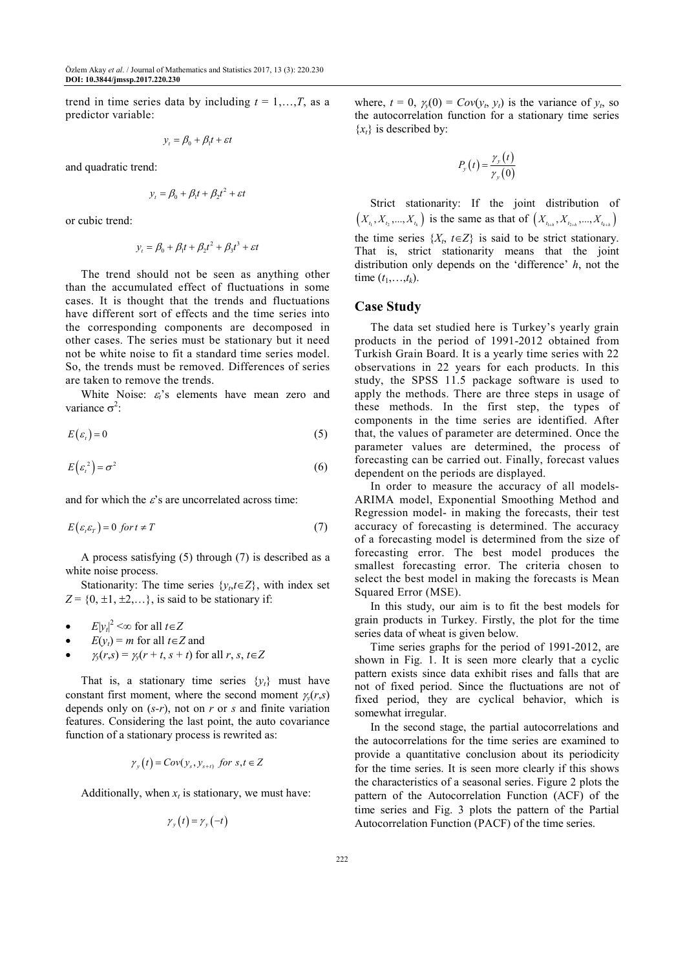trend in time series data by including  $t = 1,...,T$ , as a predictor variable:

$$
y_t = \beta_0 + \beta_1 t + \varepsilon t
$$

and quadratic trend:

$$
y_t = \beta_0 + \beta_1 t + \beta_2 t^2 + \varepsilon t
$$

or cubic trend:

$$
y_t = \beta_0 + \beta_1 t + \beta_2 t^2 + \beta_3 t^3 + \varepsilon t
$$

The trend should not be seen as anything other than the accumulated effect of fluctuations in some cases. It is thought that the trends and fluctuations have different sort of effects and the time series into the corresponding components are decomposed in other cases. The series must be stationary but it need not be white noise to fit a standard time series model. So, the trends must be removed. Differences of series are taken to remove the trends.

White Noise:  $\varepsilon_i$ 's elements have mean zero and variance  $σ²$ :

$$
E(\varepsilon_i) = 0 \tag{5}
$$

$$
E(\varepsilon_i^2) = \sigma^2 \tag{6}
$$

and for which the  $\varepsilon$ 's are uncorrelated across time:

$$
E(\varepsilon_i \varepsilon_T) = 0 \text{ for } t \neq T \tag{7}
$$

A process satisfying (5) through (7) is described as a white noise process.

Stationarity: The time series  $\{y_t, t \in \mathbb{Z}\}$ , with index set  $Z = \{0, \pm 1, \pm 2, \ldots\}$ , is said to be stationary if:

- $E|y_t|^2 \leq \infty$  for all  $t \in \mathbb{Z}$ |
- $E(y_t) = m$  for all  $t \in Z$  and
- $\gamma_v(r,s) = \gamma_v(r+t, s+t)$  for all *r*, *s*, *t*∈*Z*

That is, a stationary time series  $\{y_t\}$  must have constant first moment, where the second moment  $\gamma_v(r,s)$ depends only on (*s-r*), not on *r* or *s* and finite variation features. Considering the last point, the auto covariance function of a stationary process is rewrited as:

$$
\gamma_{y}(t) = Cov(y_{s}, y_{s+t}) \text{ for } s, t \in Z
$$

Additionally, when  $x_t$  is stationary, we must have:

$$
\gamma_{y}(t)=\gamma_{y}(-t)
$$

where,  $t = 0$ ,  $\gamma_y(0) = Cov(y_t, y_t)$  is the variance of  $y_t$ , so the autocorrelation function for a stationary time series  ${x<sub>t</sub>}$  is described by:

$$
P_{y}(t) = \frac{\gamma_{y}(t)}{\gamma_{y}(0)}
$$

Strict stationarity: If the joint distribution of  $(X_{t_1}, X_{t_2},..., X_{t_k})$  is the same as that of  $(X_{t_{t+h}}, X_{t_{2+h}},..., X_{t_{k+h}})$ the time series  $\{X_t, t \in \mathbb{Z}\}$  is said to be strict stationary. That is, strict stationarity means that the joint distribution only depends on the 'difference' *h*, not the time  $(t_1, \ldots, t_k)$ .

# **Case Study**

The data set studied here is Turkey's yearly grain products in the period of 1991-2012 obtained from Turkish Grain Board. It is a yearly time series with 22 observations in 22 years for each products. In this study, the SPSS 11.5 package software is used to apply the methods. There are three steps in usage of these methods. In the first step, the types of components in the time series are identified. After that, the values of parameter are determined. Once the parameter values are determined, the process of forecasting can be carried out. Finally, forecast values dependent on the periods are displayed.

In order to measure the accuracy of all models-ARIMA model, Exponential Smoothing Method and Regression model- in making the forecasts, their test accuracy of forecasting is determined. The accuracy of a forecasting model is determined from the size of forecasting error. The best model produces the smallest forecasting error. The criteria chosen to select the best model in making the forecasts is Mean Squared Error (MSE).

In this study, our aim is to fit the best models for grain products in Turkey. Firstly, the plot for the time series data of wheat is given below.

Time series graphs for the period of 1991-2012, are shown in Fig. 1. It is seen more clearly that a cyclic pattern exists since data exhibit rises and falls that are not of fixed period. Since the fluctuations are not of fixed period, they are cyclical behavior, which is somewhat irregular.

In the second stage, the partial autocorrelations and the autocorrelations for the time series are examined to provide a quantitative conclusion about its periodicity for the time series. It is seen more clearly if this shows the characteristics of a seasonal series. Figure 2 plots the pattern of the Autocorrelation Function (ACF) of the time series and Fig. 3 plots the pattern of the Partial Autocorrelation Function (PACF) of the time series.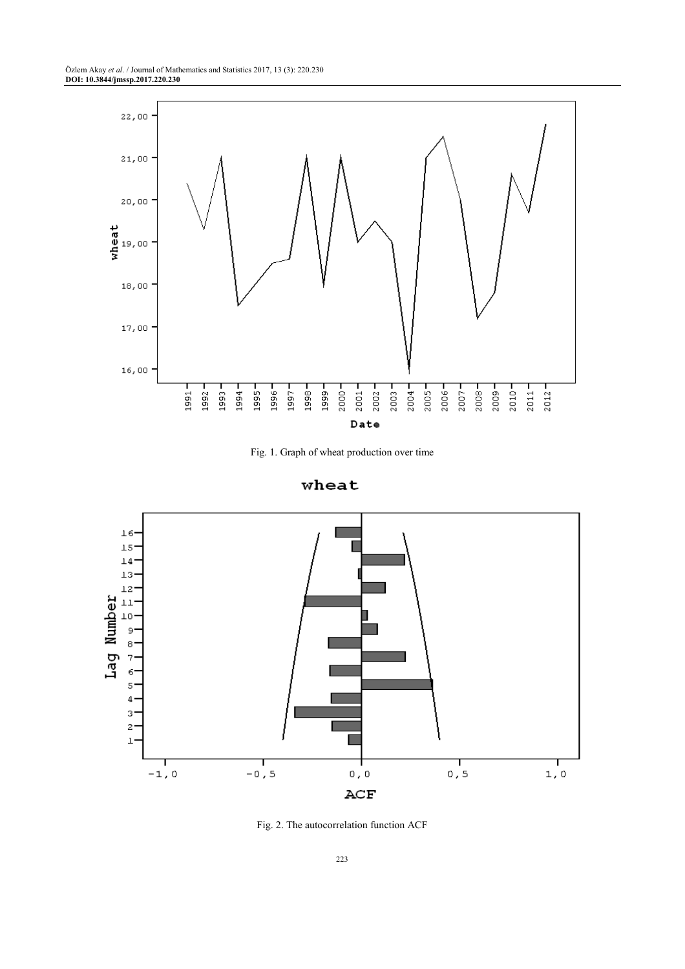Özlem Akay *et al*. / Journal of Mathematics and Statistics 2017, 13 (3): 220.230 **DOI: 10.3844/jmssp.2017.220.230** 



Fig. 1. Graph of wheat production over time

wheat



Fig. 2. The autocorrelation function ACF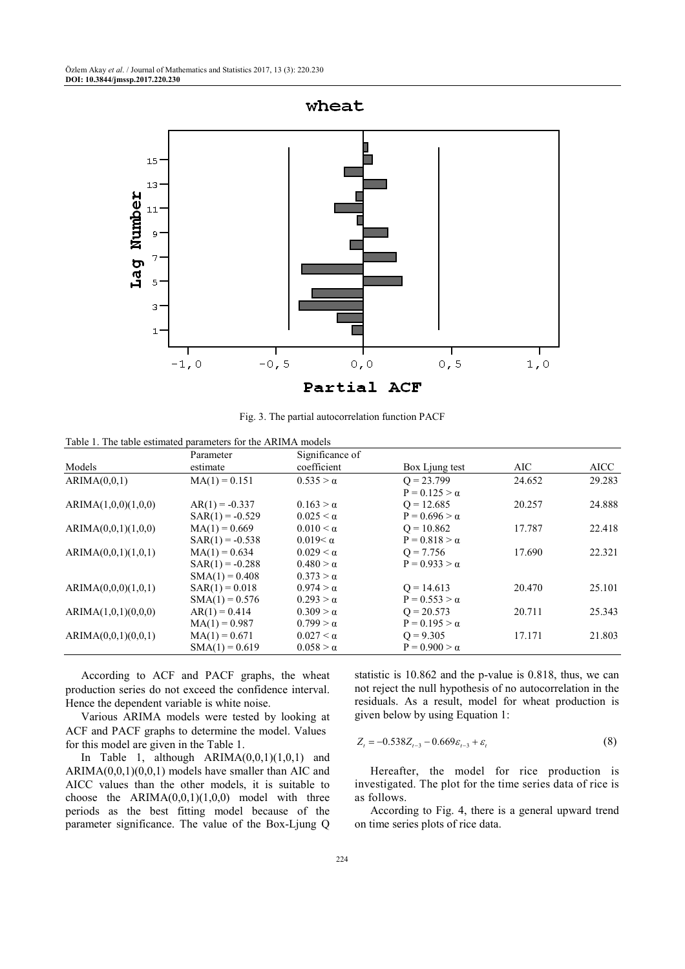



Partial ACF

Fig. 3. The partial autocorrelation function PACF

Table 1. The table estimated parameters for the ARIMA models

|                     | Parameter         | Significance of     |                      |        |             |
|---------------------|-------------------|---------------------|----------------------|--------|-------------|
| Models              | estimate          | coefficient         | Box Ljung test       | AIC    | <b>AICC</b> |
| ARIMA(0,0,1)        | $MA(1) = 0.151$   | $0.535 > \alpha$    | $Q = 23.799$         | 24.652 | 29.283      |
|                     |                   |                     | $P = 0.125 > \alpha$ |        |             |
| ARIMA(1,0,0)(1,0,0) | $AR(1) = -0.337$  | $0.163 > \alpha$    | $Q = 12.685$         | 20.257 | 24.888      |
|                     | $SAR(1) = -0.529$ | $0.025 < \alpha$    | $P = 0.696 > \alpha$ |        |             |
| ARIMA(0,0,1)(1,0,0) | $MA(1) = 0.669$   | $0.010 \leq \alpha$ | $Q = 10.862$         | 17.787 | 22.418      |
|                     | $SAR(1) = -0.538$ | $0.019<\alpha$      | $P = 0.818 > \alpha$ |        |             |
| ARIMA(0,0,1)(1,0,1) | $MA(1) = 0.634$   | $0.029 < \alpha$    | $Q = 7.756$          | 17.690 | 22.321      |
|                     | $SAR(1) = -0.288$ | $0.480 > \alpha$    | $P = 0.933 > \alpha$ |        |             |
|                     | $SMA(1) = 0.408$  | $0.373 > \alpha$    |                      |        |             |
| ARIMA(0,0,0)(1,0,1) | $SAR(1) = 0.018$  | $0.974 > \alpha$    | $Q = 14.613$         | 20.470 | 25.101      |
|                     | $SMA(1) = 0.576$  | $0.293 > \alpha$    | $P = 0.553 > \alpha$ |        |             |
| ARIMA(1,0,1)(0,0,0) | $AR(1) = 0.414$   | $0.309 > \alpha$    | $Q = 20.573$         | 20.711 | 25.343      |
|                     | $MA(1) = 0.987$   | $0.799 > \alpha$    | $P = 0.195 > \alpha$ |        |             |
| ARIMA(0,0,1)(0,0,1) | $MA(1) = 0.671$   | $0.027 < \alpha$    | $Q = 9.305$          | 17.171 | 21.803      |
|                     | $SMA(1) = 0.619$  | $0.058 > \alpha$    | $P = 0.900 > \alpha$ |        |             |

According to ACF and PACF graphs, the wheat production series do not exceed the confidence interval. Hence the dependent variable is white noise.

Various ARIMA models were tested by looking at ACF and PACF graphs to determine the model. Values for this model are given in the Table 1.

In Table 1, although  $ARIMA(0,0,1)(1,0,1)$  and  $ARIMA(0,0,1)(0,0,1)$  models have smaller than AIC and AICC values than the other models, it is suitable to choose the  $ARIMA(0,0,1)(1,0,0)$  model with three periods as the best fitting model because of the parameter significance. The value of the Box-Ljung Q statistic is 10.862 and the p-value is 0.818, thus, we can not reject the null hypothesis of no autocorrelation in the residuals. As a result, model for wheat production is given below by using Equation 1:

$$
Z_t = -0.538Z_{t-3} - 0.669\varepsilon_{t-3} + \varepsilon_t
$$
\n(8)

Hereafter, the model for rice production is investigated. The plot for the time series data of rice is as follows.

According to Fig. 4, there is a general upward trend on time series plots of rice data.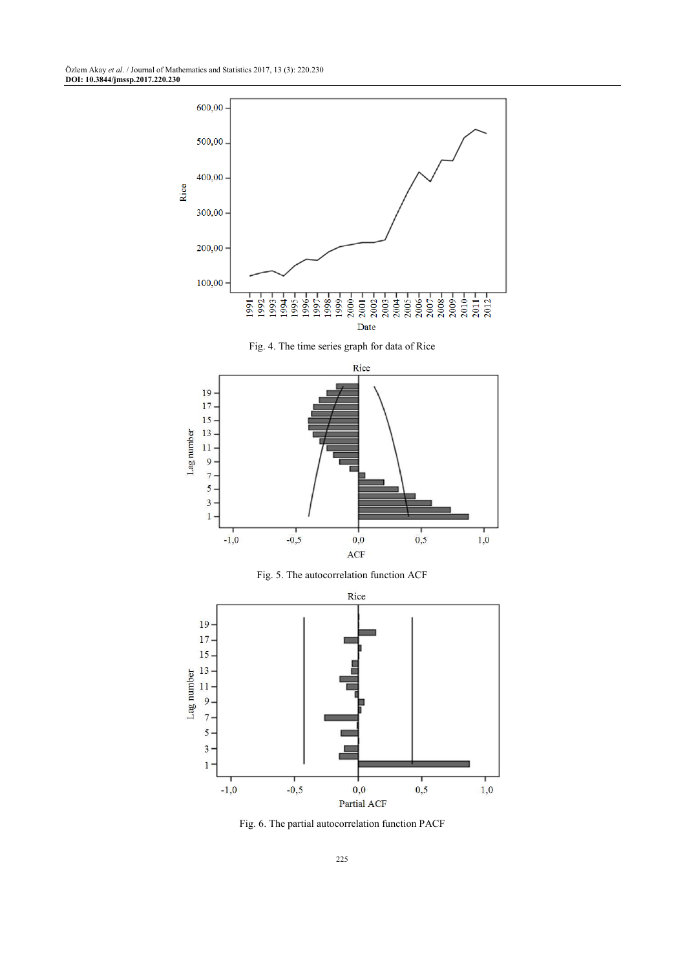









Fig. 6. The partial autocorrelation function PACF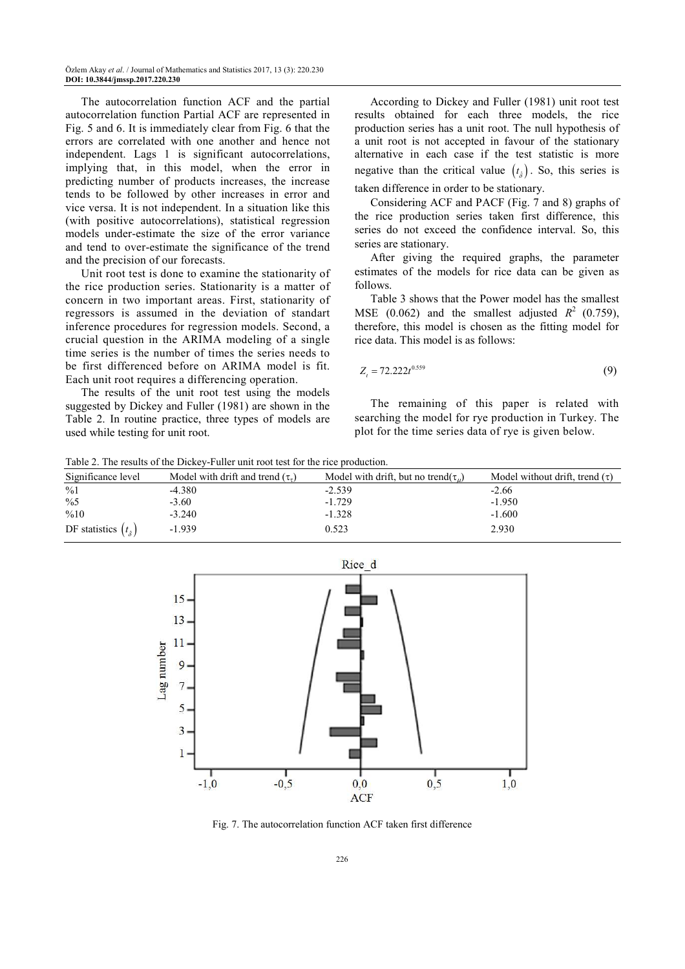The autocorrelation function ACF and the partial autocorrelation function Partial ACF are represented in Fig. 5 and 6. It is immediately clear from Fig. 6 that the errors are correlated with one another and hence not independent. Lags 1 is significant autocorrelations, implying that, in this model, when the error in predicting number of products increases, the increase tends to be followed by other increases in error and vice versa. It is not independent. In a situation like this (with positive autocorrelations), statistical regression models under-estimate the size of the error variance and tend to over-estimate the significance of the trend and the precision of our forecasts.

Unit root test is done to examine the stationarity of the rice production series. Stationarity is a matter of concern in two important areas. First, stationarity of regressors is assumed in the deviation of standart inference procedures for regression models. Second, a crucial question in the ARIMA modeling of a single time series is the number of times the series needs to be first differenced before on ARIMA model is fit. Each unit root requires a differencing operation.

The results of the unit root test using the models suggested by Dickey and Fuller (1981) are shown in the Table 2. In routine practice, three types of models are used while testing for unit root.

According to Dickey and Fuller (1981) unit root test results obtained for each three models, the rice production series has a unit root. The null hypothesis of a unit root is not accepted in favour of the stationary alternative in each case if the test statistic is more negative than the critical value  $(t_{\hat{\delta}})$ . So, this series is taken difference in order to be stationary.

Considering ACF and PACF (Fig. 7 and 8) graphs of the rice production series taken first difference, this series do not exceed the confidence interval. So, this series are stationary.

After giving the required graphs, the parameter estimates of the models for rice data can be given as follows.

Table 3 shows that the Power model has the smallest MSE (0.062) and the smallest adjusted  $R^2$  (0.759), therefore, this model is chosen as the fitting model for rice data. This model is as follows:

$$
Z_t = 72.222t^{0.559} \tag{9}
$$

The remaining of this paper is related with searching the model for rye production in Turkey. The plot for the time series data of rye is given below.

Table 2. The results of the Dickey-Fuller unit root test for the rice production.

| Significance level   | Model with drift and trend $(\tau_{\tau})$ | Model with drift, but no trend( $\tau_{\mu}$ ) | Model without drift, trend $(\tau)$ |
|----------------------|--------------------------------------------|------------------------------------------------|-------------------------------------|
| $\%1$                | $-4.380$                                   | $-2.539$                                       | $-2.66$                             |
| $\frac{0}{6}$        | $-3.60$                                    | $-1.729$                                       | $-1.950$                            |
| %10                  | $-3.240$                                   | $-1.328$                                       | $-1.600$                            |
| DF statistics $(ts)$ | $-1.939$                                   | 0.523                                          | 2.930                               |



Fig. 7. The autocorrelation function ACF taken first difference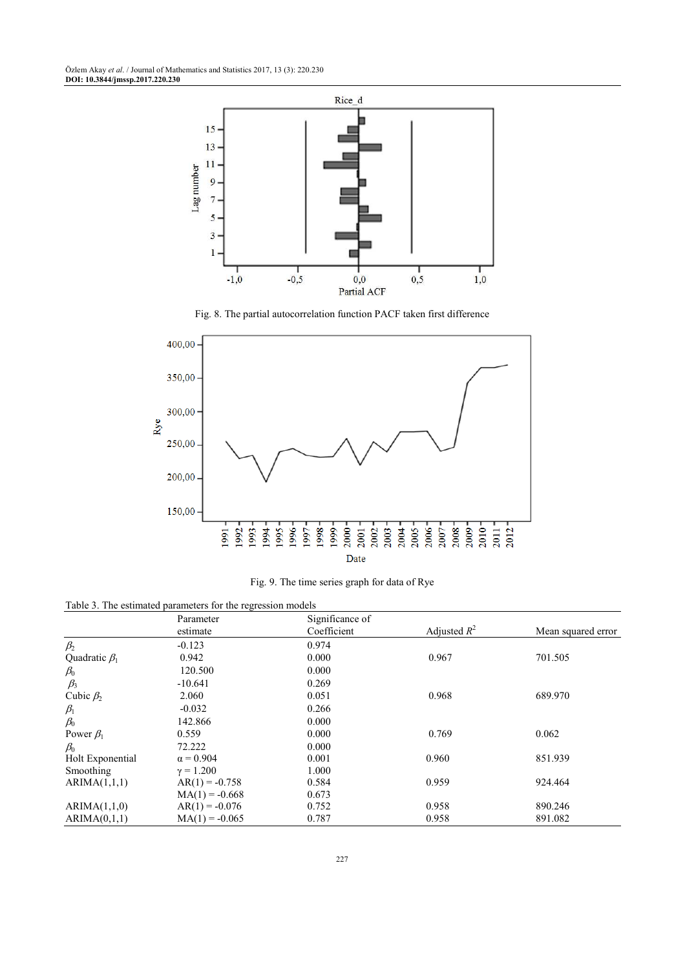





Fig. 9. The time series graph for data of Rye

| Table 3. The estimated parameters for the regression models |  |
|-------------------------------------------------------------|--|
|                                                             |  |
|                                                             |  |
|                                                             |  |

|                     | Parameter        | Significance of |                |                    |
|---------------------|------------------|-----------------|----------------|--------------------|
|                     | estimate         | Coefficient     | Adjusted $R^2$ | Mean squared error |
| $\beta_2$           | $-0.123$         | 0.974           |                |                    |
| Quadratic $\beta_1$ | 0.942            | 0.000           | 0.967          | 701.505            |
| $\beta_0$           | 120.500          | 0.000           |                |                    |
| $\beta_3$           | $-10.641$        | 0.269           |                |                    |
| Cubic $\beta_2$     | 2.060            | 0.051           | 0.968          | 689.970            |
| $\beta_1$           | $-0.032$         | 0.266           |                |                    |
| $\beta_0$           | 142.866          | 0.000           |                |                    |
| Power $\beta_1$     | 0.559            | 0.000           | 0.769          | 0.062              |
| $\beta_0$           | 72.222           | 0.000           |                |                    |
| Holt Exponential    | $\alpha$ = 0.904 | 0.001           | 0.960          | 851.939            |
| Smoothing           | $y = 1.200$      | 1.000           |                |                    |
| ARIMA(1,1,1)        | $AR(1) = -0.758$ | 0.584           | 0.959          | 924.464            |
|                     | $MA(1) = -0.668$ | 0.673           |                |                    |
| ARIMA(1,1,0)        | $AR(1) = -0.076$ | 0.752           | 0.958          | 890.246            |
| ARIMA(0,1,1)        | $MA(1) = -0.065$ | 0.787           | 0.958          | 891.082            |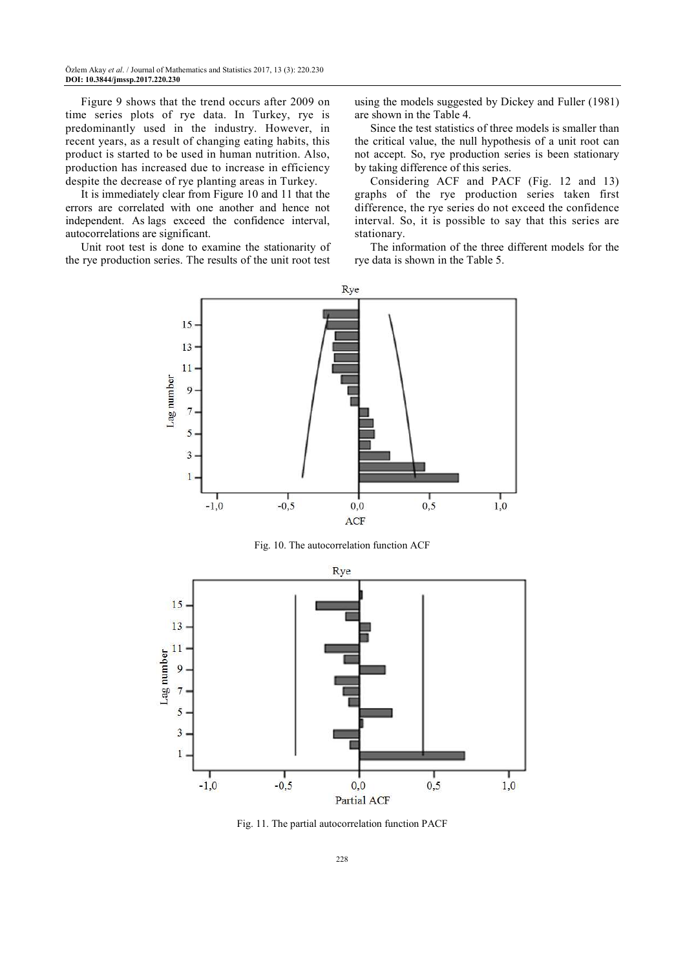Figure 9 shows that the trend occurs after 2009 on time series plots of rye data. In Turkey, rye is predominantly used in the industry. However, in recent years, as a result of changing eating habits, this product is started to be used in human nutrition. Also, production has increased due to increase in efficiency despite the decrease of rye planting areas in Turkey.

It is immediately clear from Figure 10 and 11 that the errors are correlated with one another and hence not independent. As lags exceed the confidence interval, autocorrelations are significant.

Unit root test is done to examine the stationarity of the rye production series. The results of the unit root test

using the models suggested by Dickey and Fuller (1981) are shown in the Table 4.

Since the test statistics of three models is smaller than the critical value, the null hypothesis of a unit root can not accept. So, rye production series is been stationary by taking difference of this series.

Considering ACF and PACF (Fig. 12 and 13) graphs of the rye production series taken first difference, the rye series do not exceed the confidence interval. So, it is possible to say that this series are stationary.

The information of the three different models for the rye data is shown in the Table 5.



Fig. 10. The autocorrelation function ACF



Fig. 11. The partial autocorrelation function PACF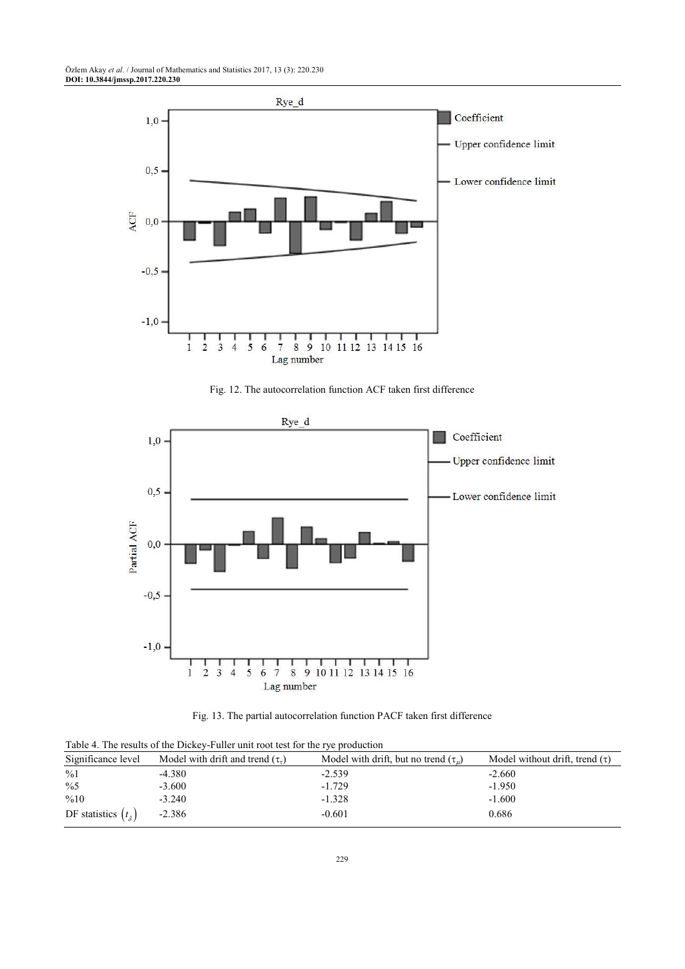

Fig. 12. The autocorrelation function ACF taken first difference



Fig. 13. The partial autocorrelation function PACF taken first difference

| Tavic +. The results of the Diekey-Panel and foot lest for the Fye production |                                           |                                     |  |  |  |  |
|-------------------------------------------------------------------------------|-------------------------------------------|-------------------------------------|--|--|--|--|
| Model with drift and trend $(\tau_{\tau})$                                    | Model with drift, but no trend $(\tau_u)$ | Model without drift, trend $(\tau)$ |  |  |  |  |
| $-4.380$                                                                      | $-2.539$                                  | $-2.660$                            |  |  |  |  |
| $-3.600$                                                                      | $-1.729$                                  | $-1.950$                            |  |  |  |  |
| $-3.240$                                                                      | $-1.328$                                  | $-1.600$                            |  |  |  |  |
| $-2.386$                                                                      | $-0.601$                                  | 0.686                               |  |  |  |  |
|                                                                               |                                           |                                     |  |  |  |  |

Table 4. The results of the Dickey-Fuller unit root test for the rye production